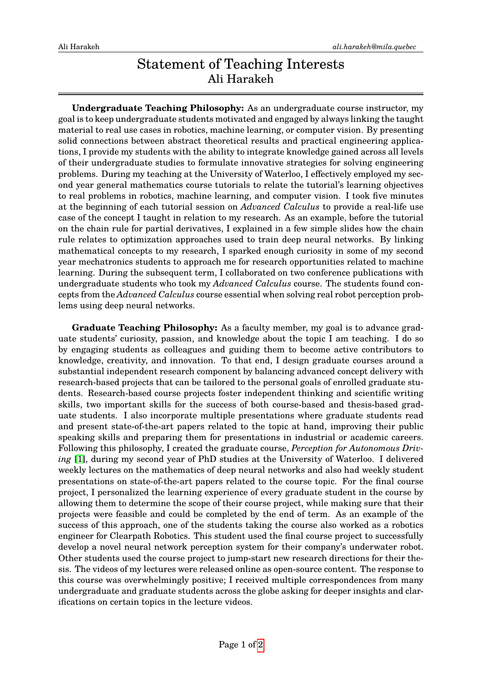## Statement of Teaching Interests Ali Harakeh

**Undergraduate Teaching Philosophy:** As an undergraduate course instructor, my goal is to keep undergraduate students motivated and engaged by always linking the taught material to real use cases in robotics, machine learning, or computer vision. By presenting solid connections between abstract theoretical results and practical engineering applications, I provide my students with the ability to integrate knowledge gained across all levels of their undergraduate studies to formulate innovative strategies for solving engineering problems. During my teaching at the University of Waterloo, I effectively employed my second year general mathematics course tutorials to relate the tutorial's learning objectives to real problems in robotics, machine learning, and computer vision. I took five minutes at the beginning of each tutorial session on *Advanced Calculus* to provide a real-life use case of the concept I taught in relation to my research. As an example, before the tutorial on the chain rule for partial derivatives, I explained in a few simple slides how the chain rule relates to optimization approaches used to train deep neural networks. By linking mathematical concepts to my research, I sparked enough curiosity in some of my second year mechatronics students to approach me for research opportunities related to machine learning. During the subsequent term, I collaborated on two conference publications with undergraduate students who took my *Advanced Calculus* course. The students found concepts from the *Advanced Calculus* course essential when solving real robot perception problems using deep neural networks.

**Graduate Teaching Philosophy:** As a faculty member, my goal is to advance graduate students' curiosity, passion, and knowledge about the topic I am teaching. I do so by engaging students as colleagues and guiding them to become active contributors to knowledge, creativity, and innovation. To that end, I design graduate courses around a substantial independent research component by balancing advanced concept delivery with research-based projects that can be tailored to the personal goals of enrolled graduate students. Research-based course projects foster independent thinking and scientific writing skills, two important skills for the success of both course-based and thesis-based graduate students. I also incorporate multiple presentations where graduate students read and present state-of-the-art papers related to the topic at hand, improving their public speaking skills and preparing them for presentations in industrial or academic careers. Following this philosophy, I created the graduate course, *Perception for Autonomous Driving* [\[1\]](#page-1-0), during my second year of PhD studies at the University of Waterloo. I delivered weekly lectures on the mathematics of deep neural networks and also had weekly student presentations on state-of-the-art papers related to the course topic. For the final course project, I personalized the learning experience of every graduate student in the course by allowing them to determine the scope of their course project, while making sure that their projects were feasible and could be completed by the end of term. As an example of the success of this approach, one of the students taking the course also worked as a robotics engineer for Clearpath Robotics. This student used the final course project to successfully develop a novel neural network perception system for their company's underwater robot. Other students used the course project to jump-start new research directions for their thesis. The videos of my lectures were released online as open-source content. The response to this course was overwhelmingly positive; I received multiple correspondences from many undergraduate and graduate students across the globe asking for deeper insights and clarifications on certain topics in the lecture videos.